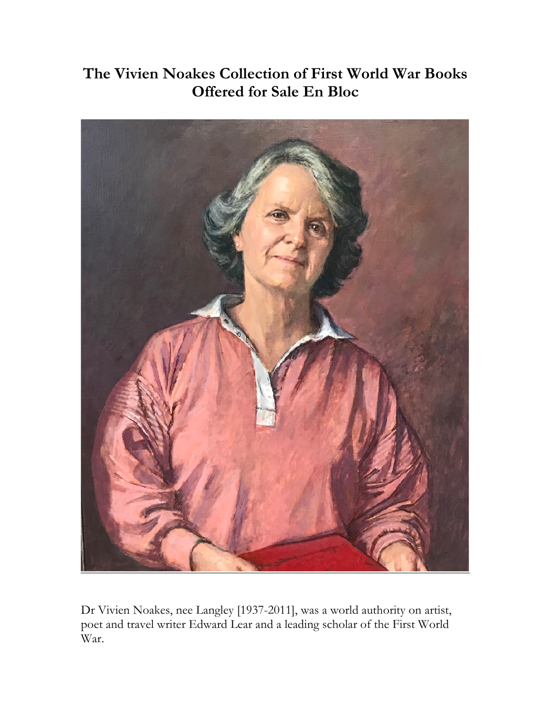# **The Vivien Noakes Collection of First World War Books Offered for Sale En Bloc**



Dr Vivien Noakes, nee Langley [1937-2011], was a world authority on artist, poet and travel writer Edward Lear and a leading scholar of the First World War.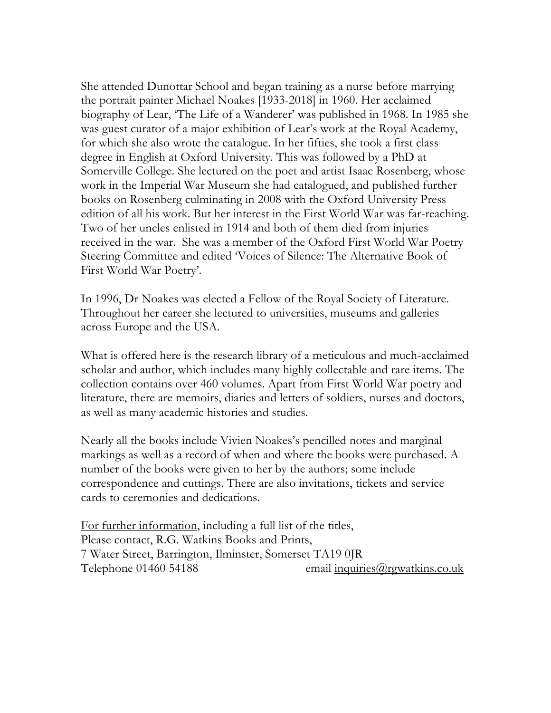She attended Dunottar School and began training as a nurse before marrying the portrait painter Michael Noakes [1933-2018] in 1960. Her acclaimed biography of Lear, 'The Life of a Wanderer' was published in 1968. In 1985 she was guest curator of a major exhibition of Lear's work at the Royal Academy, for which she also wrote the catalogue. In her fifties, she took a first class degree in English at Oxford University. This was followed by a PhD at Somerville College. She lectured on the poet and artist Isaac Rosenberg, whose work in the Imperial War Museum she had catalogued, and published further books on Rosenberg culminating in 2008 with the Oxford University Press edition of all his work. But her interest in the First World War was far-reaching. Two of her uncles enlisted in 1914 and both of them died from injuries received in the war. She was a member of the Oxford First World War Poetry Steering Committee and edited 'Voices of Silence: The Alternative Book of First World War Poetry'.

In 1996, Dr Noakes was elected a Fellow of the Royal Society of Literature. Throughout her career she lectured to universities, museums and galleries across Europe and the USA.

What is offered here is the research library of a meticulous and much-acclaimed scholar and author, which includes many highly collectable and rare items. The collection contains over 460 volumes. Apart from First World War poetry and literature, there are memoirs, diaries and letters of soldiers, nurses and doctors, as well as many academic histories and studies.

Nearly all the books include Vivien Noakes's pencilled notes and marginal markings as well as a record of when and where the books were purchased. A number of the books were given to her by the authors; some include correspondence and cuttings. There are also invitations, tickets and service cards to ceremonies and dedications.

For further information, including a full list of the titles, Please contact, R.G. Watkins Books and Prints, 7 Water Street, Barrington, Ilminster, Somerset TA19 0JR Telephone 01460 54188 email inquiries (@rgwatkins.co.uk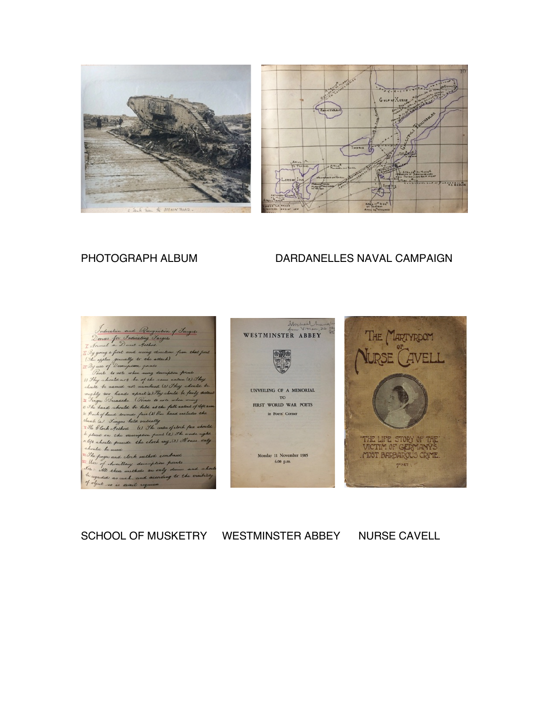



### PHOTOGRAPH ALBUM DARDANELLES NAVAL CAMPAIGN







## SCHOOL OF MUSKETRY WESTMINSTER ABBEY NURSE CAVELL